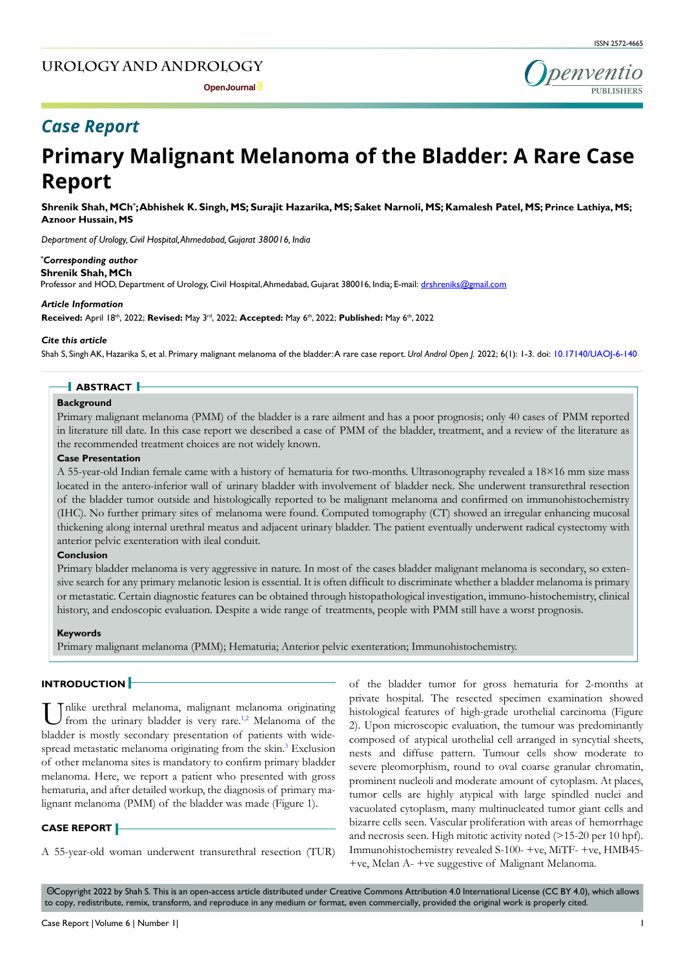# **UROLOGY AND ANDROLOGY**



# *Case Report*

# **Primary Malignant Melanoma of the Bladder: A Rare Case Report**

**Shrenik Shah, MCh\* ; Abhishek K. Singh, MS; Surajit Hazarika, MS; Saket Narnoli, MS; Kamalesh Patel, MS; Prince Lathiya, MS; Aznoor Hussain, MS**

*Department of Urology, Civil Hospital, Ahmedabad, Gujarat 380016, India*

#### *\* Corresponding author*

**Shrenik Shah, MCh**

Professor and HOD, Department of Urology, Civil Hospital, Ahmedabad, Gujarat 380016, India; E-mail: drshreniks@gmail.com

#### *Article Information*

**Received:** April 18th, 2022; **Revised:** May 3rd, 2022; **Accepted:** May 6th, 2022; **Published:** May 6th, 2022

#### *Cite this article*

Shah S, Singh AK, Hazarika S, et al. Primary malignant melanoma of the bladder: A rare case report. *Urol Androl Open J.* 2022; 6(1): 1-3. doi: [10.17140/UAOJ-6-140](http://dx.doi.org/10.17140/UAOJ-6-140)

# **ABSTRACT**

#### **Background**

Primary malignant melanoma (PMM) of the bladder is a rare ailment and has a poor prognosis; only 40 cases of PMM reported in literature till date. In this case report we described a case of PMM of the bladder, treatment, and a review of the literature as the recommended treatment choices are not widely known.

#### **Case Presentation**

A 55-year-old Indian female came with a history of hematuria for two-months. Ultrasonography revealed a 18×16 mm size mass located in the antero-inferior wall of urinary bladder with involvement of bladder neck. She underwent transurethral resection of the bladder tumor outside and histologically reported to be malignant melanoma and confirmed on immunohistochemistry (IHC). No further primary sites of melanoma were found. Computed tomography (CT) showed an irregular enhancing mucosal thickening along internal urethral meatus and adjacent urinary bladder. The patient eventually underwent radical cystectomy with anterior pelvic exenteration with ileal conduit.

#### **Conclusion**

Primary bladder melanoma is very aggressive in nature. In most of the cases bladder malignant melanoma is secondary, so extensive search for any primary melanotic lesion is essential. It is often difficult to discriminate whether a bladder melanoma is primary or metastatic. Certain diagnostic features can be obtained through histopathological investigation, immuno-histochemistry, clinical history, and endoscopic evaluation. Despite a wide range of treatments, people with PMM still have a worst prognosis.

#### **Keywords**

Primary malignant melanoma (PMM); Hematuria; Anterior pelvic exenteration; Immunohistochemistry.

#### **INTRODUCTION**

Unlike urethral [me](#page-2-0)lanoma, malignant melanoma originating from the urinary bladder is very rare.<sup>1,2</sup> Melanoma of the bladder is mostly secondary presentation of patients with wide-spread metastatic melanoma originating from the skin.<sup>[3](#page-2-1)</sup> Exclusion of other melanoma sites is mandatory to confirm primary bladder melanoma. Here, we report a patient who presented with gross hematuria, and after detailed workup, the diagnosis of primary malignant melanoma (PMM) of the bladder was made (Figure 1).

#### **CASE REPORT**

A 55-year-old woman underwent transurethral resection (TUR)

of the bladder tumor for gross hematuria for 2-months at private hospital. The resected specimen examination showed histological features of high-grade urothelial carcinoma (Figure 2). Upon microscopic evaluation, the tumour was predominantly composed of atypical urothelial cell arranged in syncytial sheets, nests and diffuse pattern. Tumour cells show moderate to severe pleomorphism, round to oval coarse granular chromatin, prominent nucleoli and moderate amount of cytoplasm. At places, tumor cells are highly atypical with large spindled nuclei and vacuolated cytoplasm, many multinucleated tumor giant cells and bizarre cells seen. Vascular proliferation with areas of hemorrhage and necrosis seen. High mitotic activity noted (>15-20 per 10 hpf). Immunohistochemistry revealed S-100- +ve, MiTF- +ve, HMB45- +ve, Melan A- +ve suggestive of Malignant Melanoma.

 Copyright 2022 by Shah S. This is an open-access article distributed under Creative Commons Attribution 4.0 International License (CC BY 4.0), which allows cc to copy, redistribute, remix, transform, and reproduce in any medium or format, even commercially, provided the original work is properly cited.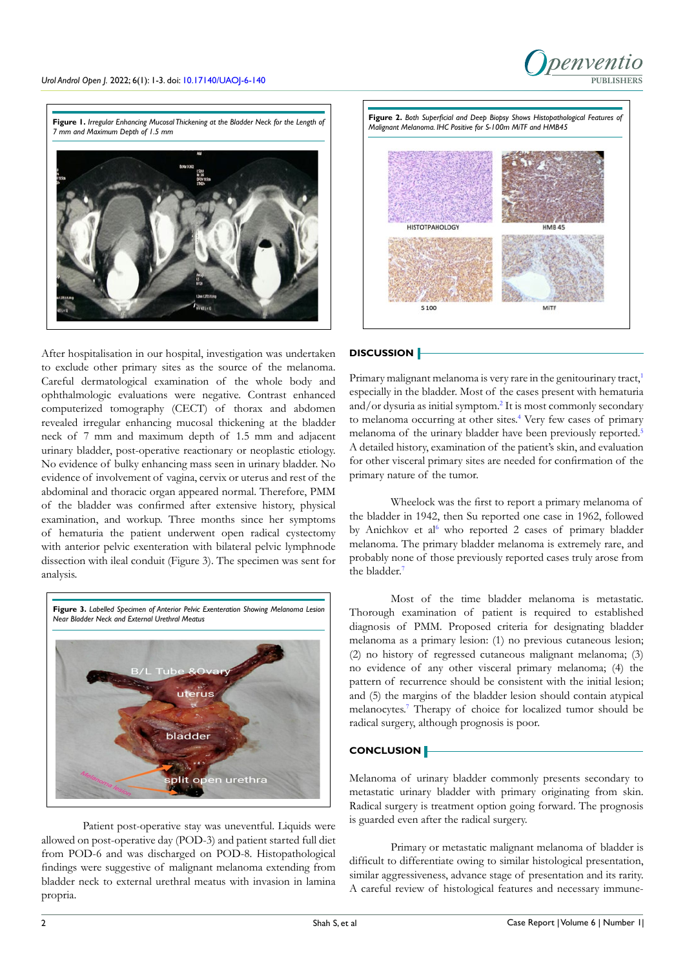

**Figure 1.** *Irregular Enhancing Mucosal Thickening at the Bladder Neck for the Length of 7 mm and Maximum Depth of 1.5 mm*



After hospitalisation in our hospital, investigation was undertaken to exclude other primary sites as the source of the melanoma. Careful dermatological examination of the whole body and ophthalmologic evaluations were negative. Contrast enhanced computerized tomography (CECT) of thorax and abdomen revealed irregular enhancing mucosal thickening at the bladder neck of 7 mm and maximum depth of 1.5 mm and adjacent urinary bladder, post-operative reactionary or neoplastic etiology. No evidence of bulky enhancing mass seen in urinary bladder. No evidence of involvement of vagina, cervix or uterus and rest of the abdominal and thoracic organ appeared normal. Therefore, PMM of the bladder was confirmed after extensive history, physical examination, and workup. Three months since her symptoms of hematuria the patient underwent open radical cystectomy with anterior pelvic exenteration with bilateral pelvic lymphnode dissection with ileal conduit (Figure 3). The specimen was sent for analysis.



Patient post-operative stay was uneventful. Liquids were allowed on post-operative day (POD-3) and patient started full diet from POD-6 and was discharged on POD-8. Histopathological findings were suggestive of malignant melanoma extending from bladder neck to external urethral meatus with invasion in lamina propria.



#### **DISCUSSION**

Primary malignant melanoma is very rare in the genitourinary tract,<sup>[1](#page-2-0)</sup> especially in the bladder. Most of the cases present with hematuria and/or dysuria as initial symptom[.2](#page-2-2) It is most commonly secondary to melanoma occurring at other sites.<sup>4</sup> Very few cases of primary melanoma of the urinary bladder have been previously reported.<sup>[5](#page-2-4)</sup> A detailed history, examination of the patient's skin, and evaluation for other visceral primary sites are needed for confirmation of the primary nature of the tumor.

Wheelock was the first to report a primary melanoma of the bladder in 1942, then Su reported one case in 1962, followed by Anichkov et al<sup>[6](#page-2-5)</sup> who reported 2 cases of primary bladder melanoma. The primary bladder melanoma is extremely rare, and probably none of those previously reported cases truly arose from the bladder.<sup>7</sup>

Most of the time bladder melanoma is metastatic. Thorough examination of patient is required to established diagnosis of PMM. Proposed criteria for designating bladder melanoma as a primary lesion: (1) no previous cutaneous lesion; (2) no history of regressed cutaneous malignant melanoma; (3) no evidence of any other visceral primary melanoma; (4) the pattern of recurrence should be consistent with the initial lesion; and (5) the margins of the bladder lesion should contain atypical melanocytes[.7](#page-2-6) Therapy of choice for localized tumor should be radical surgery, although prognosis is poor.

#### **CONCLUSION**

Melanoma of urinary bladder commonly presents secondary to metastatic urinary bladder with primary originating from skin. Radical surgery is treatment option going forward. The prognosis is guarded even after the radical surgery.

Primary or metastatic malignant melanoma of bladder is difficult to differentiate owing to similar histological presentation, similar aggressiveness, advance stage of presentation and its rarity. A careful review of histological features and necessary immune-